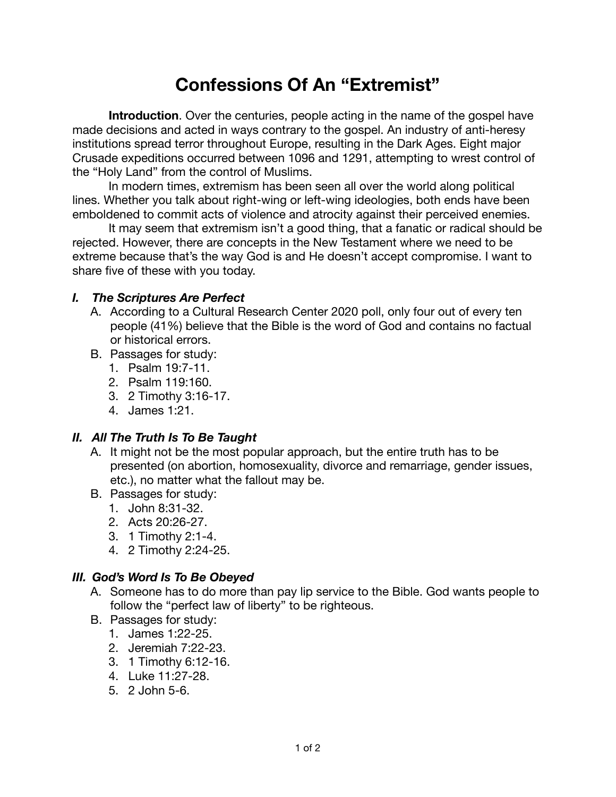# **Confessions Of An "Extremist"**

**Introduction**. Over the centuries, people acting in the name of the gospel have made decisions and acted in ways contrary to the gospel. An industry of anti-heresy institutions spread terror throughout Europe, resulting in the Dark Ages. Eight major Crusade expeditions occurred between 1096 and 1291, attempting to wrest control of the "Holy Land" from the control of Muslims.

In modern times, extremism has been seen all over the world along political lines. Whether you talk about right-wing or left-wing ideologies, both ends have been emboldened to commit acts of violence and atrocity against their perceived enemies.

It may seem that extremism isn't a good thing, that a fanatic or radical should be rejected. However, there are concepts in the New Testament where we need to be extreme because that's the way God is and He doesn't accept compromise. I want to share five of these with you today.

#### *I. The Scriptures Are Perfect*

- A. According to a Cultural Research Center 2020 poll, only four out of every ten people (41%) believe that the Bible is the word of God and contains no factual or historical errors.
- B. Passages for study:
	- 1. Psalm 19:7-11.
	- 2. Psalm 119:160.
	- 3. 2 Timothy 3:16-17.
	- 4. James 1:21.

#### *II. All The Truth Is To Be Taught*

- A. It might not be the most popular approach, but the entire truth has to be presented (on abortion, homosexuality, divorce and remarriage, gender issues, etc.), no matter what the fallout may be.
- B. Passages for study:
	- 1. John 8:31-32.
	- 2. Acts 20:26-27.
	- 3. 1 Timothy 2:1-4.
	- 4. 2 Timothy 2:24-25.

### *III. God's Word Is To Be Obeyed*

- A. Someone has to do more than pay lip service to the Bible. God wants people to follow the "perfect law of liberty" to be righteous.
- B. Passages for study:
	- 1. James 1:22-25.
	- 2. Jeremiah 7:22-23.
	- 3. 1 Timothy 6:12-16.
	- 4. Luke 11:27-28.
	- 5. 2 John 5-6.